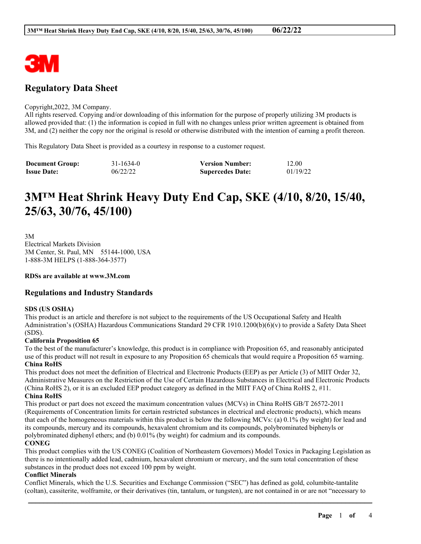

# **Regulatory Data Sheet**

#### Copyright,2022, 3M Company.

All rights reserved. Copying and/or downloading of this information for the purpose of properly utilizing 3M products is allowed provided that: (1) the information is copied in full with no changes unless prior written agreement is obtained from 3M, and (2) neither the copy nor the original is resold or otherwise distributed with the intention of earning a profit thereon.

This Regulatory Data Sheet is provided as a courtesy in response to a customer request.

| <b>Document Group:</b> | 31-1634-0 | <b>Version Number:</b>  | 12.00    |
|------------------------|-----------|-------------------------|----------|
| <b>Issue Date:</b>     | 06/22/22  | <b>Supercedes Date:</b> | 01/19/22 |

# **3M™ Heat Shrink Heavy Duty End Cap, SKE (4/10, 8/20, 15/40, 25/63, 30/76, 45/100)**

3M Electrical Markets Division 3M Center, St. Paul, MN 55144-1000, USA 1-888-3M HELPS (1-888-364-3577)

#### **RDSs are available at www.3M.com**

### **Regulations and Industry Standards**

#### **SDS (US OSHA)**

This product is an article and therefore is not subject to the requirements of the US Occupational Safety and Health Administration's (OSHA) Hazardous Communications Standard 29 CFR 1910.1200(b)(6)(v) to provide a Safety Data Sheet (SDS).

#### **California Proposition 65**

To the best of the manufacturer's knowledge, this product is in compliance with Proposition 65, and reasonably anticipated use of this product will not result in exposure to any Proposition 65 chemicals that would require a Proposition 65 warning. **China RoHS**

This product does not meet the definition of Electrical and Electronic Products (EEP) as per Article (3) of MIIT Order 32, Administrative Measures on the Restriction of the Use of Certain Hazardous Substances in Electrical and Electronic Products (China RoHS 2), or it is an excluded EEP product category as defined in the MIIT FAQ of China RoHS 2, #11. **China RoHS**

This product or part does not exceed the maximum concentration values (MCVs) in China RoHS GB/T 26572-2011 (Requirements of Concentration limits for certain restricted substances in electrical and electronic products), which means that each of the homogeneous materials within this product is below the following MCVs: (a) 0.1% (by weight) for lead and its compounds, mercury and its compounds, hexavalent chromium and its compounds, polybrominated biphenyls or polybrominated diphenyl ethers; and (b) 0.01% (by weight) for cadmium and its compounds.

#### **CONEG**

This product complies with the US CONEG (Coalition of Northeastern Governors) Model Toxics in Packaging Legislation as there is no intentionally added lead, cadmium, hexavalent chromium or mercury, and the sum total concentration of these substances in the product does not exceed 100 ppm by weight.

#### **Conflict Minerals**

Conflict Minerals, which the U.S. Securities and Exchange Commission ("SEC") has defined as gold, columbite-tantalite (coltan), cassiterite, wolframite, or their derivatives (tin, tantalum, or tungsten), are not contained in or are not "necessary to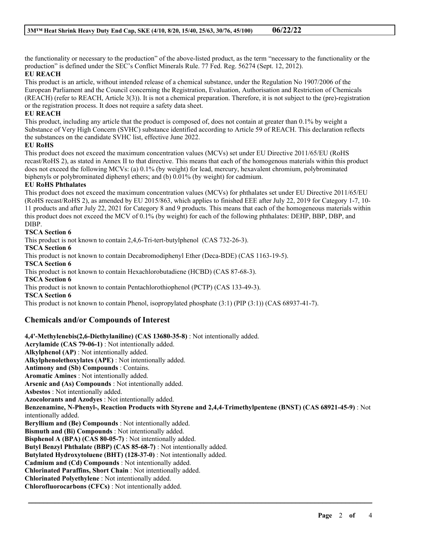the functionality or necessary to the production" of the above-listed product, as the term "necessary to the functionality or the production" is defined under the SEC's Conflict Minerals Rule. 77 Fed. Reg. 56274 (Sept. 12, 2012).

#### **EU REACH**

This product is an article, without intended release of a chemical substance, under the Regulation No 1907/2006 of the European Parliament and the Council concerning the Registration, Evaluation, Authorisation and Restriction of Chemicals (REACH) (refer to REACH, Article 3(3)). It is not a chemical preparation. Therefore, it is not subject to the (pre)-registration or the registration process. It does not require a safety data sheet.

#### **EU REACH**

This product, including any article that the product is composed of, does not contain at greater than 0.1% by weight a Substance of Very High Concern (SVHC) substance identified according to Article 59 of REACH. This declaration reflects the substances on the candidate SVHC list, effective June 2022.

#### **EU RoHS**

This product does not exceed the maximum concentration values (MCVs) set under EU Directive 2011/65/EU (RoHS recast/RoHS 2), as stated in Annex II to that directive. This means that each of the homogenous materials within this product does not exceed the following MCVs: (a) 0.1% (by weight) for lead, mercury, hexavalent chromium, polybrominated biphenyls or polybrominated diphenyl ethers; and (b) 0.01% (by weight) for cadmium.

#### **EU RoHS Phthalates**

This product does not exceed the maximum concentration values (MCVs) for phthalates set under EU Directive 2011/65/EU (RoHS recast/RoHS 2), as amended by EU 2015/863, which applies to finished EEE after July 22, 2019 for Category 1-7, 10- 11 products and after July 22, 2021 for Category 8 and 9 products. This means that each of the homogeneous materials within this product does not exceed the MCV of 0.1% (by weight) for each of the following phthalates: DEHP, BBP, DBP, and DIBP.

#### **TSCA Section 6**

This product is not known to contain 2,4,6-Tri-tert-butylphenol (CAS 732-26-3).

**TSCA Section 6**

This product is not known to contain Decabromodiphenyl Ether (Deca-BDE) (CAS 1163-19-5).

**TSCA Section 6**

This product is not known to contain Hexachlorobutadiene (HCBD) (CAS 87-68-3).

**TSCA Section 6**

This product is not known to contain Pentachlorothiophenol (PCTP) (CAS 133-49-3).

**TSCA Section 6**

This product is not known to contain Phenol, isopropylated phosphate (3:1) (PIP (3:1)) (CAS 68937-41-7).

## **Chemicals and/or Compounds of Interest**

**4,4'-Methylenebis(2,6-Diethylaniline) (CAS 13680-35-8)** : Not intentionally added. **Acrylamide (CAS 79-06-1)** : Not intentionally added. **Alkylphenol (AP)** : Not intentionally added. **Alkylphenolethoxylates (APE)** : Not intentionally added. **Antimony and (Sb) Compounds** : Contains. **Aromatic Amines** : Not intentionally added. **Arsenic and (As) Compounds** : Not intentionally added. **Asbestos** : Not intentionally added. **Azocolorants and Azodyes** : Not intentionally added. **Benzenamine, N-Phenyl-, Reaction Products with Styrene and 2,4,4-Trimethylpentene (BNST) (CAS 68921-45-9)** : Not intentionally added. **Beryllium and (Be) Compounds** : Not intentionally added. **Bismuth and (Bi) Compounds** : Not intentionally added. **Bisphenol A (BPA) (CAS 80-05-7)** : Not intentionally added. **Butyl Benzyl Phthalate (BBP) (CAS 85-68-7)** : Not intentionally added. **Butylated Hydroxytoluene (BHT) (128-37-0)** : Not intentionally added. **Cadmium and (Cd) Compounds** : Not intentionally added. **Chlorinated Paraffins, Short Chain** : Not intentionally added. **Chlorinated Polyethylene** : Not intentionally added. **Chlorofluorocarbons (CFCs)** : Not intentionally added.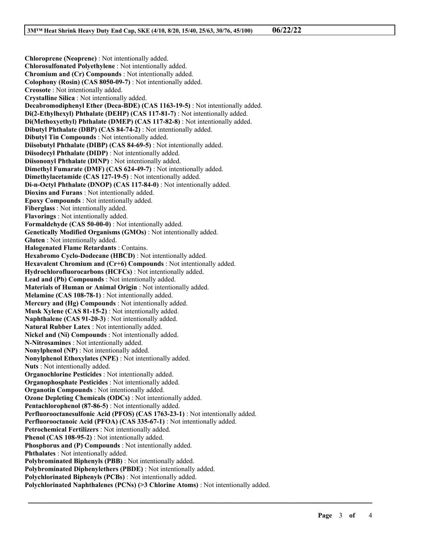**Chloroprene (Neoprene)** : Not intentionally added. **Chlorosulfonated Polyethylene** : Not intentionally added. **Chromium and (Cr) Compounds** : Not intentionally added. **Colophony (Rosin) (CAS 8050-09-7)** : Not intentionally added. **Creosote** : Not intentionally added. **Crystalline Silica** : Not intentionally added. **Decabromodiphenyl Ether (Deca-BDE) (CAS 1163-19-5)** : Not intentionally added. **Di(2-Ethylhexyl) Phthalate (DEHP) (CAS 117-81-7)** : Not intentionally added. **Di(Methoxyethyl) Phthalate (DMEP) (CAS 117-82-8)** : Not intentionally added. **Dibutyl Phthalate (DBP) (CAS 84-74-2)** : Not intentionally added. **Dibutyl Tin Compounds** : Not intentionally added. **Diisobutyl Phthalate (DIBP) (CAS 84-69-5)** : Not intentionally added. **Diisodecyl Phthalate (DIDP)** : Not intentionally added. **Diisononyl Phthalate (DINP)** : Not intentionally added. **Dimethyl Fumarate (DMF) (CAS 624-49-7)** : Not intentionally added. **Dimethylacetamide (CAS 127-19-5)** : Not intentionally added. **Di-n-Octyl Phthalate (DNOP) (CAS 117-84-0)** : Not intentionally added. **Dioxins and Furans** : Not intentionally added. **Epoxy Compounds** : Not intentionally added. **Fiberglass** : Not intentionally added. **Flavorings** : Not intentionally added. **Formaldehyde (CAS 50-00-0)** : Not intentionally added. **Genetically Modified Organisms (GMOs)** : Not intentionally added. **Gluten** : Not intentionally added. **Halogenated Flame Retardants** : Contains. **Hexabromo Cyclo-Dodecane (HBCD)** : Not intentionally added. **Hexavalent Chromium and (Cr+6) Compounds** : Not intentionally added. **Hydrochlorofluorocarbons (HCFCs)** : Not intentionally added. **Lead and (Pb) Compounds** : Not intentionally added. **Materials of Human or Animal Origin** : Not intentionally added. **Melamine (CAS 108-78-1)** : Not intentionally added. **Mercury and (Hg) Compounds** : Not intentionally added. **Musk Xylene (CAS 81-15-2)** : Not intentionally added. **Naphthalene (CAS 91-20-3)** : Not intentionally added. **Natural Rubber Latex** : Not intentionally added. **Nickel and (Ni) Compounds** : Not intentionally added. **N-Nitrosamines** : Not intentionally added. **Nonylphenol (NP)** : Not intentionally added. **Nonylphenol Ethoxylates (NPE)** : Not intentionally added. **Nuts** : Not intentionally added. **Organochlorine Pesticides** : Not intentionally added. **Organophosphate Pesticides** : Not intentionally added. **Organotin Compounds** : Not intentionally added. **Ozone Depleting Chemicals (ODCs)** : Not intentionally added. **Pentachlorophenol (87-86-5)** : Not intentionally added. **Perfluorooctanesulfonic Acid (PFOS) (CAS 1763-23-1)** : Not intentionally added. **Perfluorooctanoic Acid (PFOA) (CAS 335-67-1)** : Not intentionally added. **Petrochemical Fertilizers** : Not intentionally added. **Phenol (CAS 108-95-2)** : Not intentionally added. **Phosphorus and (P) Compounds** : Not intentionally added. **Phthalates** : Not intentionally added. **Polybrominated Biphenyls (PBB)** : Not intentionally added. **Polybrominated Diphenylethers (PBDE)** : Not intentionally added. **Polychlorinated Biphenyls (PCBs)** : Not intentionally added. **Polychlorinated Naphthalenes (PCNs) (>3 Chlorine Atoms)** : Not intentionally added.